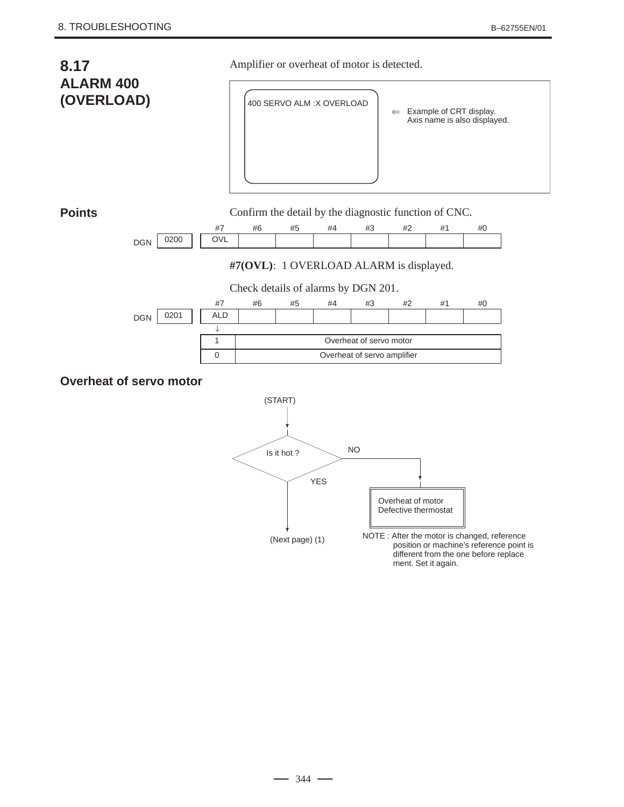



ment. Set it again.

 $-344 -$